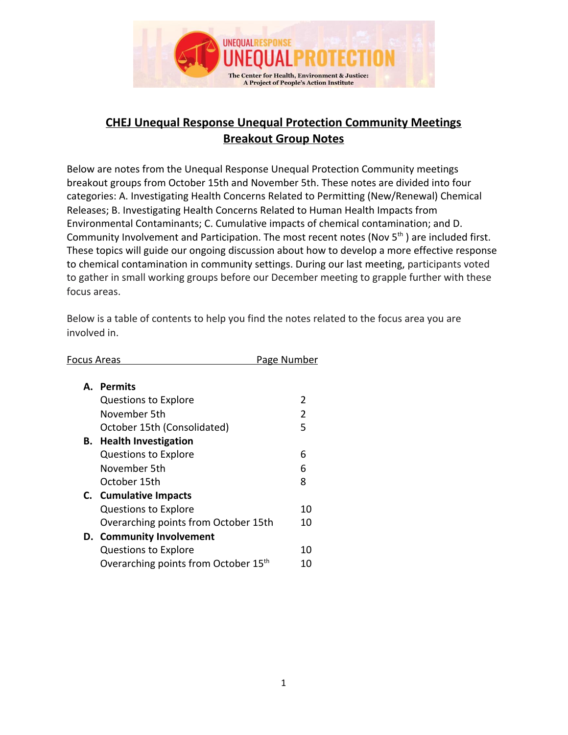

# **CHEJ Unequal Response Unequal Protection Community Meetings Breakout Group Notes**

Below are notes from the Unequal Response Unequal Protection Community meetings breakout groups from October 15th and November 5th. These notes are divided into four categories: A. Investigating Health Concerns Related to Permitting (New/Renewal) Chemical Releases; B. Investigating Health Concerns Related to Human Health Impacts from Environmental Contaminants; C. Cumulative impacts of chemical contamination; and D. Community Involvement and Participation. The most recent notes (Nov 5<sup>th</sup>) are included first. These topics will guide our ongoing discussion about how to develop a more effective response to chemical contamination in community settings. During our last meeting, participants voted to gather in small working groups before our December meeting to grapple further with these focus areas.

Below is a table of contents to help you find the notes related to the focus area you are involved in.

| <u>Focus Areas</u>                               | <u>Page Number</u> |
|--------------------------------------------------|--------------------|
| A. Permits                                       |                    |
| <b>Questions to Explore</b>                      | 2                  |
| November 5th                                     | $\overline{2}$     |
| October 15th (Consolidated)                      | 5                  |
| <b>B.</b> Health Investigation                   |                    |
| <b>Questions to Explore</b>                      | 6                  |
| November 5th                                     | 6                  |
| October 15th                                     | 8                  |
| C. Cumulative Impacts                            |                    |
| <b>Questions to Explore</b>                      | 10                 |
| Overarching points from October 15th             | 10                 |
| D. Community Involvement                         |                    |
| <b>Questions to Explore</b>                      | 10                 |
| Overarching points from October 15 <sup>th</sup> | 10                 |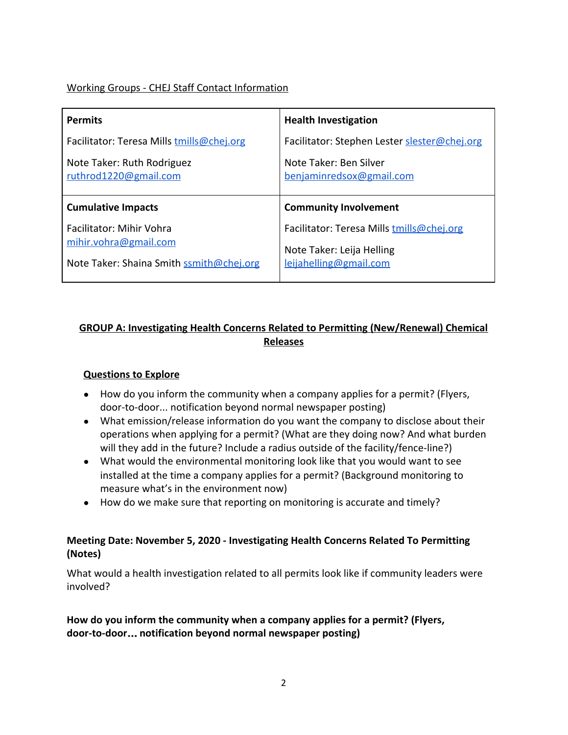# Working Groups - CHEJ Staff Contact Information

| <b>Permits</b>                                           | <b>Health Investigation</b>                                            |
|----------------------------------------------------------|------------------------------------------------------------------------|
| Facilitator: Teresa Mills tmills@chej.org                | Facilitator: Stephen Lester slester@chej.org                           |
| Note Taker: Ruth Rodriguez<br>ruthrod1220@gmail.com      | Note Taker: Ben Silver<br>benjaminredsox@gmail.com                     |
|                                                          |                                                                        |
| <b>Cumulative Impacts</b>                                | <b>Community Involvement</b>                                           |
| <b>Facilitator: Mihir Vohra</b><br>mihir.vohra@gmail.com | Facilitator: Teresa Mills tmills@chej.org<br>Note Taker: Leija Helling |

# **GROUP A: Investigating Health Concerns Related to Permitting (New/Renewal) Chemical Releases**

# **Questions to Explore**

- How do you inform the community when a company applies for a permit? (Flyers, door-to-door... notification beyond normal newspaper posting)
- What emission/release information do you want the company to disclose about their operations when applying for a permit? (What are they doing now? And what burden will they add in the future? Include a radius outside of the facility/fence-line?)
- What would the environmental monitoring look like that you would want to see installed at the time a company applies for a permit? (Background monitoring to measure what's in the environment now)
- How do we make sure that reporting on monitoring is accurate and timely?

# **Meeting Date: November 5, 2020 - Investigating Health Concerns Related To Permitting (Notes)**

What would a health investigation related to all permits look like if community leaders were involved?

**How do you inform the community when a company applies for a permit? (Flyers, door-to-door**… **notification beyond normal newspaper posting)**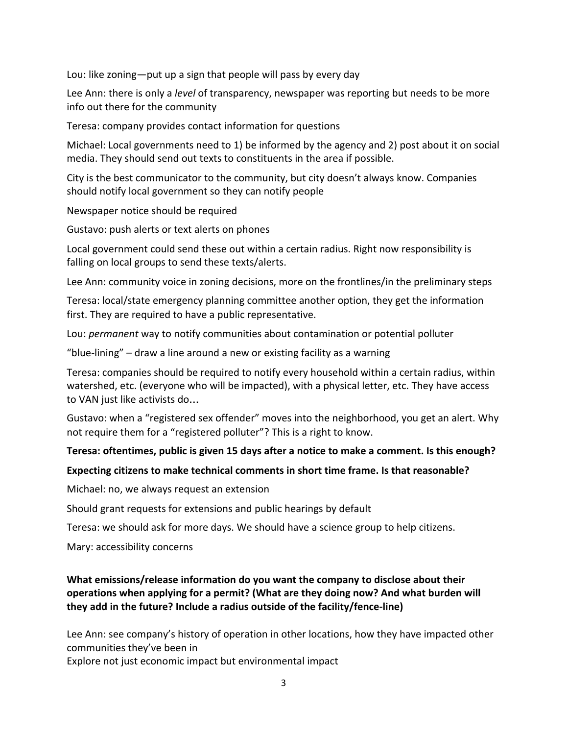Lou: like zoning—put up a sign that people will pass by every day

Lee Ann: there is only a *level* of transparency, newspaper was reporting but needs to be more info out there for the community

Teresa: company provides contact information for questions

Michael: Local governments need to 1) be informed by the agency and 2) post about it on social media. They should send out texts to constituents in the area if possible.

City is the best communicator to the community, but city doesn't always know. Companies should notify local government so they can notify people

Newspaper notice should be required

Gustavo: push alerts or text alerts on phones

Local government could send these out within a certain radius. Right now responsibility is falling on local groups to send these texts/alerts.

Lee Ann: community voice in zoning decisions, more on the frontlines/in the preliminary steps

Teresa: local/state emergency planning committee another option, they get the information first. They are required to have a public representative.

Lou: *permanent* way to notify communities about contamination or potential polluter

"blue-lining" – draw a line around a new or existing facility as a warning

Teresa: companies should be required to notify every household within a certain radius, within watershed, etc. (everyone who will be impacted), with a physical letter, etc. They have access to VAN just like activists do…

Gustavo: when a "registered sex offender" moves into the neighborhood, you get an alert. Why not require them for a "registered polluter"? This is a right to know.

# **Teresa: oftentimes, public is given 15 days after a notice to make a comment. Is this enough?**

# **Expecting citizens to make technical comments in short time frame. Is that reasonable?**

Michael: no, we always request an extension

Should grant requests for extensions and public hearings by default

Teresa: we should ask for more days. We should have a science group to help citizens.

Mary: accessibility concerns

# **What emissions/release information do you want the company to disclose about their operations when applying for a permit? (What are they doing now? And what burden will they add in the future? Include a radius outside of the facility/fence-line)**

Lee Ann: see company's history of operation in other locations, how they have impacted other communities they've been in

Explore not just economic impact but environmental impact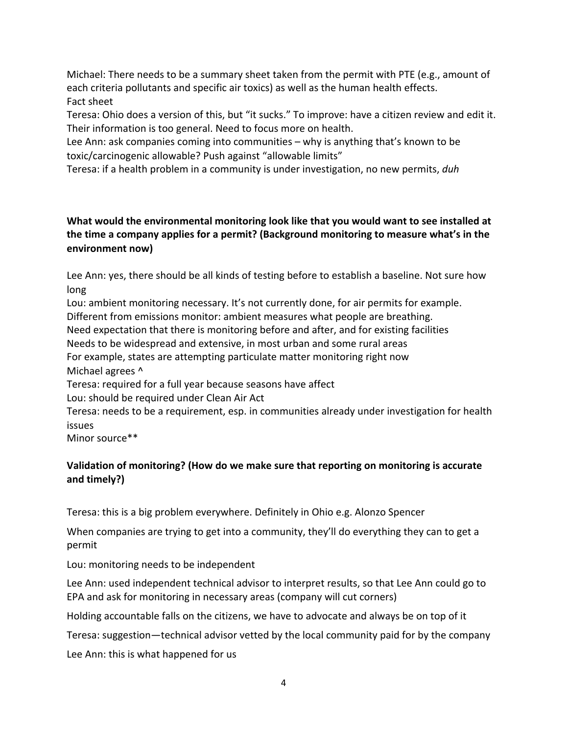Michael: There needs to be a summary sheet taken from the permit with PTE (e.g., amount of each criteria pollutants and specific air toxics) as well as the human health effects. Fact sheet

Teresa: Ohio does a version of this, but "it sucks." To improve: have a citizen review and edit it. Their information is too general. Need to focus more on health.

Lee Ann: ask companies coming into communities – why is anything that's known to be toxic/carcinogenic allowable? Push against "allowable limits"

Teresa: if a health problem in a community is under investigation, no new permits, *duh*

# **What would the environmental monitoring look like that you would want to see installed at the time a company applies for a permit? (Background monitoring to measure what's in the environment now)**

Lee Ann: yes, there should be all kinds of testing before to establish a baseline. Not sure how long

Lou: ambient monitoring necessary. It's not currently done, for air permits for example. Different from emissions monitor: ambient measures what people are breathing. Need expectation that there is monitoring before and after, and for existing facilities Needs to be widespread and extensive, in most urban and some rural areas For example, states are attempting particulate matter monitoring right now Michael agrees ^ Teresa: required for a full year because seasons have affect Lou: should be required under Clean Air Act

Teresa: needs to be a requirement, esp. in communities already under investigation for health issues

Minor source\*\*

# **Validation of monitoring? (How do we make sure that reporting on monitoring is accurate and timely?)**

Teresa: this is a big problem everywhere. Definitely in Ohio e.g. Alonzo Spencer

When companies are trying to get into a community, they'll do everything they can to get a permit

Lou: monitoring needs to be independent

Lee Ann: used independent technical advisor to interpret results, so that Lee Ann could go to EPA and ask for monitoring in necessary areas (company will cut corners)

Holding accountable falls on the citizens, we have to advocate and always be on top of it

Teresa: suggestion—technical advisor vetted by the local community paid for by the company

Lee Ann: this is what happened for us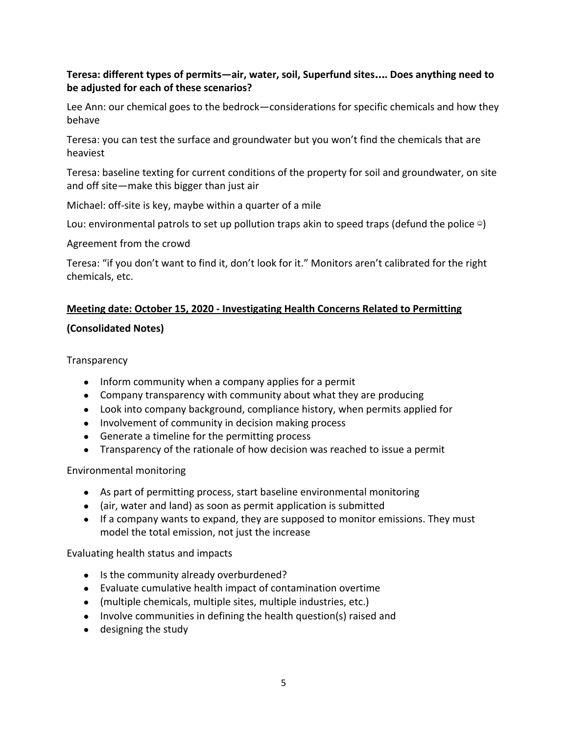# **Teresa: different types of permits—air, water, soil, Superfund sites**…**. Does anything need to be adjusted for each of these scenarios?**

Lee Ann: our chemical goes to the bedrock—considerations for specific chemicals and how they behave

Teresa: you can test the surface and groundwater but you won't find the chemicals that are heaviest

Teresa: baseline texting for current conditions of the property for soil and groundwater, on site and off site—make this bigger than just air

Michael: off-site is key, maybe within a quarter of a mile

Lou: environmental patrols to set up pollution traps akin to speed traps (defund the police  $\circ$ )

Agreement from the crowd

Teresa: "if you don't want to find it, don't look for it." Monitors aren't calibrated for the right chemicals, etc.

# **Meeting date: October 15, 2020 - Investigating Health Concerns Related to Permitting**

#### **(Consolidated Notes)**

**Transparency** 

- Inform community when a company applies for a permit
- Company transparency with community about what they are producing
- Look into company background, compliance history, when permits applied for
- Involvement of community in decision making process
- Generate a timeline for the permitting process
- Transparency of the rationale of how decision was reached to issue a permit

Environmental monitoring

- As part of permitting process, start baseline environmental monitoring
- (air, water and land) as soon as permit application is submitted
- If a company wants to expand, they are supposed to monitor emissions. They must model the total emission, not just the increase

Evaluating health status and impacts

- Is the community already overburdened?
- Evaluate cumulative health impact of contamination overtime
- (multiple chemicals, multiple sites, multiple industries, etc.)
- Involve communities in defining the health question(s) raised and
- designing the study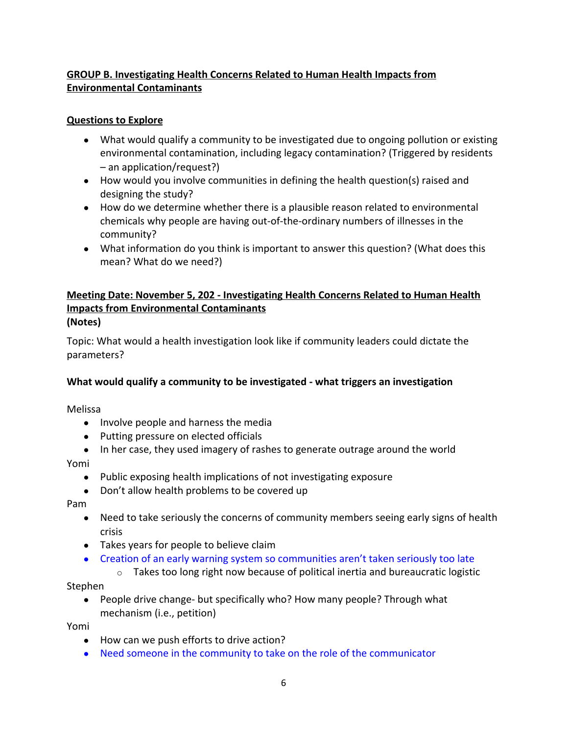# **GROUP B. Investigating Health Concerns Related to Human Health Impacts from Environmental Contaminants**

# **Questions to Explore**

- What would qualify a community to be investigated due to ongoing pollution or existing environmental contamination, including legacy contamination? (Triggered by residents – an application/request?)
- How would you involve communities in defining the health question(s) raised and designing the study?
- How do we determine whether there is a plausible reason related to environmental chemicals why people are having out-of-the-ordinary numbers of illnesses in the community?
- What information do you think is important to answer this question? (What does this mean? What do we need?)

### **Meeting Date: November 5, 202 - Investigating Health Concerns Related to Human Health Impacts from Environmental Contaminants (Notes)**

Topic: What would a health investigation look like if community leaders could dictate the parameters?

# **What would qualify a community to be investigated - what triggers an investigation**

Melissa

- Involve people and harness the media
- Putting pressure on elected officials
- In her case, they used imagery of rashes to generate outrage around the world

# Yomi

- Public exposing health implications of not investigating exposure
- Don't allow health problems to be covered up

Pam

- Need to take seriously the concerns of community members seeing early signs of health crisis
- Takes years for people to believe claim
- Creation of an early warning system so communities aren't taken seriously too late
- $\circ$  Takes too long right now because of political inertia and bureaucratic logistic Stephen
	- People drive change- but specifically who? How many people? Through what mechanism (i.e., petition)

Yomi

- How can we push efforts to drive action?
- Need someone in the community to take on the role of the communicator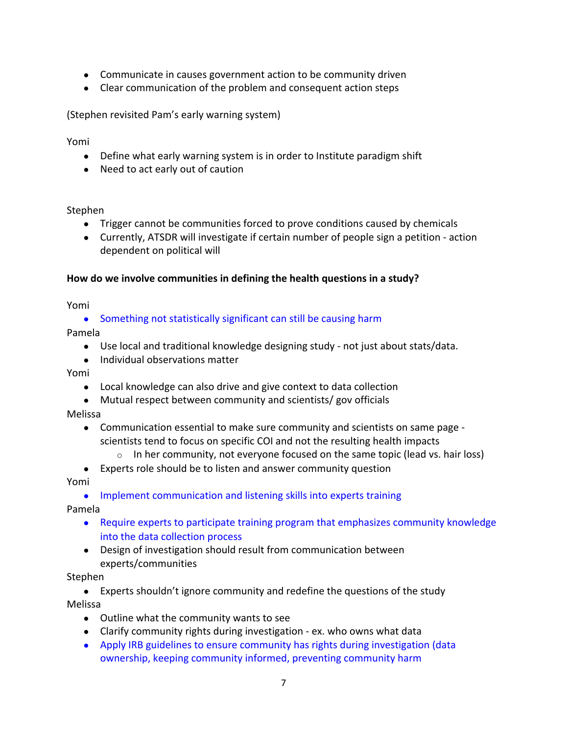- Communicate in causes government action to be community driven
- Clear communication of the problem and consequent action steps

(Stephen revisited Pam's early warning system)

Yomi

- Define what early warning system is in order to Institute paradigm shift
- Need to act early out of caution

Stephen

- Trigger cannot be communities forced to prove conditions caused by chemicals
- Currently, ATSDR will investigate if certain number of people sign a petition action dependent on political will

#### **How do we involve communities in defining the health questions in a study?**

Yomi

#### ● Something not statistically significant can still be causing harm

Pamela

- Use local and traditional knowledge designing study not just about stats/data.
- Individual observations matter

Yomi

- Local knowledge can also drive and give context to data collection
- Mutual respect between community and scientists/ gov officials

Melissa

- Communication essential to make sure community and scientists on same page scientists tend to focus on specific COI and not the resulting health impacts
	- $\circ$  In her community, not everyone focused on the same topic (lead vs. hair loss)
- Experts role should be to listen and answer community question

Yomi

● Implement communication and listening skills into experts training

Pamela

- Require experts to participate training program that emphasizes community knowledge into the data collection process
- Design of investigation should result from communication between experts/communities

Stephen

• Experts shouldn't ignore community and redefine the questions of the study Melissa

- Outline what the community wants to see
- Clarify community rights during investigation ex. who owns what data
- Apply IRB guidelines to ensure community has rights during investigation (data ownership, keeping community informed, preventing community harm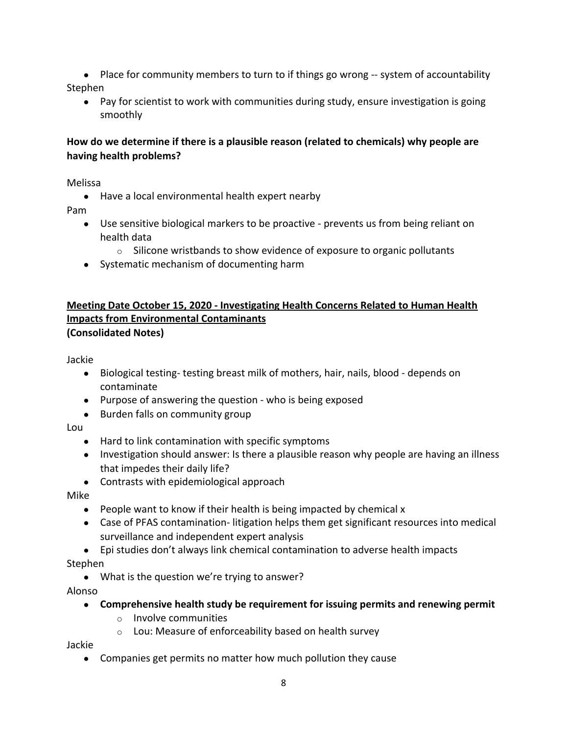- Place for community members to turn to if things go wrong -- system of accountability Stephen
	- Pay for scientist to work with communities during study, ensure investigation is going smoothly

# **How do we determine if there is a plausible reason (related to chemicals) why people are having health problems?**

Melissa

● Have a local environmental health expert nearby

Pam

- Use sensitive biological markers to be proactive prevents us from being reliant on health data
	- $\circ$  Silicone wristbands to show evidence of exposure to organic pollutants
- Systematic mechanism of documenting harm

### **Meeting Date October 15, 2020 - Investigating Health Concerns Related to Human Health Impacts from Environmental Contaminants (Consolidated Notes)**

Jackie

- Biological testing- testing breast milk of mothers, hair, nails, blood depends on contaminate
- Purpose of answering the question who is being exposed
- Burden falls on community group

Lou

- Hard to link contamination with specific symptoms
- Investigation should answer: Is there a plausible reason why people are having an illness that impedes their daily life?
- Contrasts with epidemiological approach

Mike

- People want to know if their health is being impacted by chemical x
- Case of PFAS contamination- litigation helps them get significant resources into medical surveillance and independent expert analysis
- Epi studies don't always link chemical contamination to adverse health impacts

Stephen

• What is the question we're trying to answer?

Alonso

- **● Comprehensive health study be requirement for issuing permits and renewing permit**
	- o Involve communities
	- o Lou: Measure of enforceability based on health survey

Jackie

● Companies get permits no matter how much pollution they cause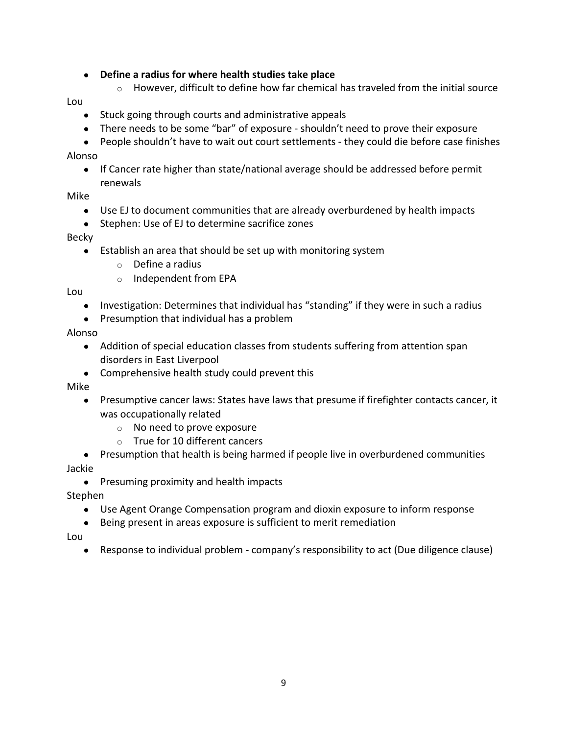#### **● Define a radius for where health studies take place**

 $\circ$  However, difficult to define how far chemical has traveled from the initial source

#### Lou

- Stuck going through courts and administrative appeals
- There needs to be some "bar" of exposure shouldn't need to prove their exposure

● People shouldn't have to wait out court settlements - they could die before case finishes

#### Alonso

● If Cancer rate higher than state/national average should be addressed before permit renewals

#### Mike

- Use EJ to document communities that are already overburdened by health impacts
- Stephen: Use of EJ to determine sacrifice zones

#### Becky

- Establish an area that should be set up with monitoring system
	- o Define a radius
	- o Independent from EPA

Lou

- Investigation: Determines that individual has "standing" if they were in such a radius
- Presumption that individual has a problem

#### Alonso

- Addition of special education classes from students suffering from attention span disorders in East Liverpool
- Comprehensive health study could prevent this

Mike

- Presumptive cancer laws: States have laws that presume if firefighter contacts cancer, it was occupationally related
	- o No need to prove exposure
	- o True for 10 different cancers
- Presumption that health is being harmed if people live in overburdened communities Jackie

# ● Presuming proximity and health impacts

Stephen

- Use Agent Orange Compensation program and dioxin exposure to inform response
- Being present in areas exposure is sufficient to merit remediation

Lou

● Response to individual problem - company's responsibility to act (Due diligence clause)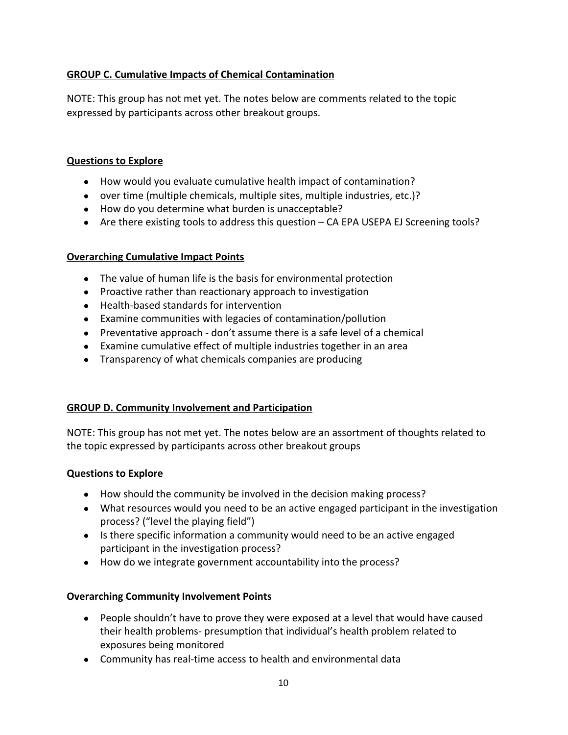# **GROUP C. Cumulative Impacts of Chemical Contamination**

NOTE: This group has not met yet. The notes below are comments related to the topic expressed by participants across other breakout groups.

### **Questions to Explore**

- How would you evaluate cumulative health impact of contamination?
- over time (multiple chemicals, multiple sites, multiple industries, etc.)?
- How do you determine what burden is unacceptable?
- Are there existing tools to address this question CA EPA USEPA EJ Screening tools?

# **Overarching Cumulative Impact Points**

- The value of human life is the basis for environmental protection
- Proactive rather than reactionary approach to investigation
- Health-based standards for intervention
- Examine communities with legacies of contamination/pollution
- Preventative approach don't assume there is a safe level of a chemical
- Examine cumulative effect of multiple industries together in an area
- Transparency of what chemicals companies are producing

# **GROUP D. Community Involvement and Participation**

NOTE: This group has not met yet. The notes below are an assortment of thoughts related to the topic expressed by participants across other breakout groups

# **Questions to Explore**

- How should the community be involved in the decision making process?
- What resources would you need to be an active engaged participant in the investigation process? ("level the playing field")
- Is there specific information a community would need to be an active engaged participant in the investigation process?
- How do we integrate government accountability into the process?

# **Overarching Community Involvement Points**

- People shouldn't have to prove they were exposed at a level that would have caused their health problems- presumption that individual's health problem related to exposures being monitored
- Community has real-time access to health and environmental data